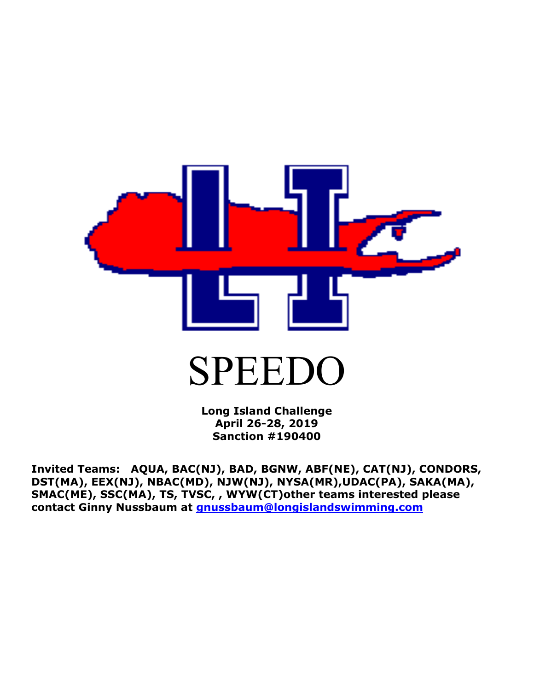

**Long Island Challenge April 26-28, 2019 Sanction #190400**

**Invited Teams: AQUA, BAC(NJ), BAD, BGNW, ABF(NE), CAT(NJ), CONDORS, DST(MA), EEX(NJ), NBAC(MD), NJW(NJ), NYSA(MR),UDAC(PA), SAKA(MA), SMAC(ME), SSC(MA), TS, TVSC, , WYW(CT)other teams interested please contact Ginny Nussbaum at [gnussbaum@longislandswimming.com](mailto:gnussbaum@longislandswimming.com)**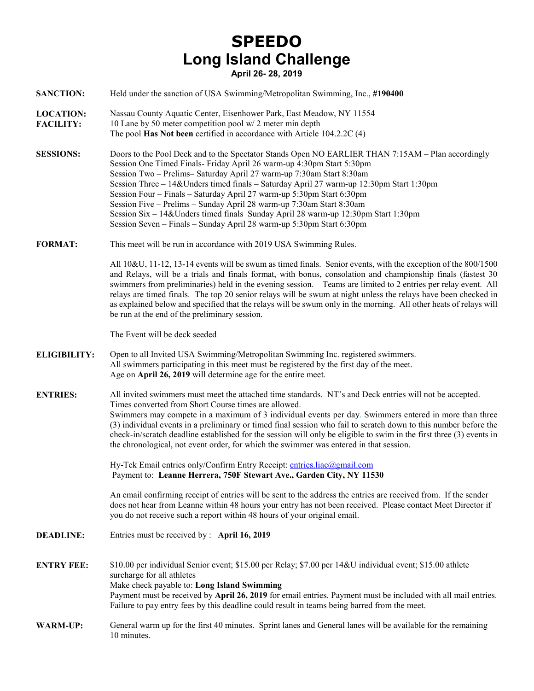## **SPEEDO Long Island Challenge April 26- 28, 2019**

| <b>SANCTION:</b>                     | Held under the sanction of USA Swimming/Metropolitan Swimming, Inc., #190400                                                                                                                                                                                                                                                                                                                                                                                                                                                                                                                                                                                 |
|--------------------------------------|--------------------------------------------------------------------------------------------------------------------------------------------------------------------------------------------------------------------------------------------------------------------------------------------------------------------------------------------------------------------------------------------------------------------------------------------------------------------------------------------------------------------------------------------------------------------------------------------------------------------------------------------------------------|
| <b>LOCATION:</b><br><b>FACILITY:</b> | Nassau County Aquatic Center, Eisenhower Park, East Meadow, NY 11554<br>10 Lane by 50 meter competition pool w/ 2 meter min depth<br>The pool Has Not been certified in accordance with Article 104.2.2C (4)                                                                                                                                                                                                                                                                                                                                                                                                                                                 |
| <b>SESSIONS:</b>                     | Doors to the Pool Deck and to the Spectator Stands Open NO EARLIER THAN 7:15AM – Plan accordingly<br>Session One Timed Finals- Friday April 26 warm-up 4:30pm Start 5:30pm<br>Session Two - Prelims-Saturday April 27 warm-up 7:30am Start 8:30am<br>Session Three - 14& Unders timed finals - Saturday April 27 warm-up 12:30pm Start 1:30pm<br>Session Four - Finals - Saturday April 27 warm-up 5:30pm Start 6:30pm<br>Session Five - Prelims - Sunday April 28 warm-up 7:30am Start 8:30am<br>Session Six – 14& Unders timed finals Sunday April 28 warm-up 12:30pm Start 1:30pm<br>Session Seven - Finals - Sunday April 28 warm-up 5:30pm Start 6:30pm |
| <b>FORMAT:</b>                       | This meet will be run in accordance with 2019 USA Swimming Rules.                                                                                                                                                                                                                                                                                                                                                                                                                                                                                                                                                                                            |
|                                      | All 10&U, 11-12, 13-14 events will be swum as timed finals. Senior events, with the exception of the 800/1500<br>and Relays, will be a trials and finals format, with bonus, consolation and championship finals (fastest 30<br>swimmers from preliminaries) held in the evening session. Teams are limited to 2 entries per relay-event. All<br>relays are timed finals. The top 20 senior relays will be swum at night unless the relays have been checked in<br>as explained below and specified that the relays will be swum only in the morning. All other heats of relays will<br>be run at the end of the preliminary session.                        |
|                                      | The Event will be deck seeded                                                                                                                                                                                                                                                                                                                                                                                                                                                                                                                                                                                                                                |
| <b>ELIGIBILITY:</b>                  | Open to all Invited USA Swimming/Metropolitan Swimming Inc. registered swimmers.<br>All swimmers participating in this meet must be registered by the first day of the meet.<br>Age on April 26, 2019 will determine age for the entire meet.                                                                                                                                                                                                                                                                                                                                                                                                                |
| <b>ENTRIES:</b>                      | All invited swimmers must meet the attached time standards. NT's and Deck entries will not be accepted.<br>Times converted from Short Course times are allowed.<br>Swimmers may compete in a maximum of 3 individual events per day. Swimmers entered in more than three<br>(3) individual events in a preliminary or timed final session who fail to scratch down to this number before the<br>check-in/scratch deadline established for the session will only be eligible to swim in the first three (3) events in<br>the chronological, not event order, for which the swimmer was entered in that session.                                               |
|                                      | Hy-Tek Email entries only/Confirm Entry Receipt: entries.liac@gmail.com<br>Payment to: Leanne Herrera, 750F Stewart Ave., Garden City, NY 11530                                                                                                                                                                                                                                                                                                                                                                                                                                                                                                              |
|                                      | An email confirming receipt of entries will be sent to the address the entries are received from. If the sender<br>does not hear from Leanne within 48 hours your entry has not been received. Please contact Meet Director if<br>you do not receive such a report within 48 hours of your original email.                                                                                                                                                                                                                                                                                                                                                   |
| <b>DEADLINE:</b>                     | Entries must be received by : April 16, 2019                                                                                                                                                                                                                                                                                                                                                                                                                                                                                                                                                                                                                 |
| <b>ENTRY FEE:</b>                    | \$10.00 per individual Senior event; \$15.00 per Relay; \$7.00 per 14&U individual event; \$15.00 athlete<br>surcharge for all athletes<br>Make check payable to: Long Island Swimming<br>Payment must be received by April 26, 2019 for email entries. Payment must be included with all mail entries.<br>Failure to pay entry fees by this deadline could result in teams being barred from the meet.                                                                                                                                                                                                                                                      |
| <b>WARM-UP:</b>                      | General warm up for the first 40 minutes. Sprint lanes and General lanes will be available for the remaining<br>10 minutes.                                                                                                                                                                                                                                                                                                                                                                                                                                                                                                                                  |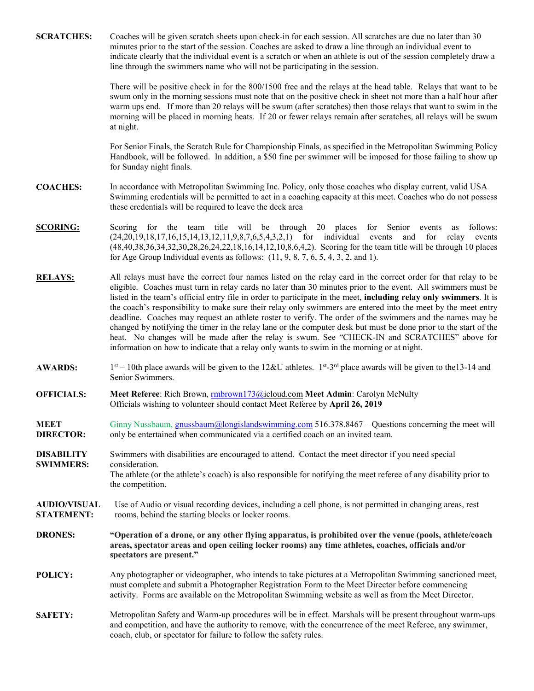| <b>SCRATCHES:</b>                        | Coaches will be given scratch sheets upon check-in for each session. All scratches are due no later than 30<br>minutes prior to the start of the session. Coaches are asked to draw a line through an individual event to<br>indicate clearly that the individual event is a scratch or when an athlete is out of the session completely draw a<br>line through the swimmers name who will not be participating in the session.                                                                                                                                                                                                                                                                                                                                                                                                                                                                       |
|------------------------------------------|-------------------------------------------------------------------------------------------------------------------------------------------------------------------------------------------------------------------------------------------------------------------------------------------------------------------------------------------------------------------------------------------------------------------------------------------------------------------------------------------------------------------------------------------------------------------------------------------------------------------------------------------------------------------------------------------------------------------------------------------------------------------------------------------------------------------------------------------------------------------------------------------------------|
|                                          | There will be positive check in for the 800/1500 free and the relays at the head table. Relays that want to be<br>swum only in the morning sessions must note that on the positive check in sheet not more than a half hour after<br>warm ups end. If more than 20 relays will be swum (after scratches) then those relays that want to swim in the<br>morning will be placed in morning heats. If 20 or fewer relays remain after scratches, all relays will be swum<br>at night.                                                                                                                                                                                                                                                                                                                                                                                                                    |
|                                          | For Senior Finals, the Scratch Rule for Championship Finals, as specified in the Metropolitan Swimming Policy<br>Handbook, will be followed. In addition, a \$50 fine per swimmer will be imposed for those failing to show up<br>for Sunday night finals.                                                                                                                                                                                                                                                                                                                                                                                                                                                                                                                                                                                                                                            |
| <b>COACHES:</b>                          | In accordance with Metropolitan Swimming Inc. Policy, only those coaches who display current, valid USA<br>Swimming credentials will be permitted to act in a coaching capacity at this meet. Coaches who do not possess<br>these credentials will be required to leave the deck area                                                                                                                                                                                                                                                                                                                                                                                                                                                                                                                                                                                                                 |
| <b>SCORING:</b>                          | for the team title will be through 20 places for Senior<br>follows:<br>Scoring<br>events<br>as<br>(24, 20, 19, 18, 17, 16, 15, 14, 13, 12, 11, 9, 8, 7, 6, 5, 4, 3, 2, 1) for individual events<br>and<br>for<br>relay<br>events<br>(48,40,38,36,34,32,30,28,26,24,22,18,16,14,12,10,8,6,4,2). Scoring for the team title will be through 10 places<br>for Age Group Individual events as follows: $(11, 9, 8, 7, 6, 5, 4, 3, 2, \text{ and } 1)$ .                                                                                                                                                                                                                                                                                                                                                                                                                                                   |
| <b>RELAYS:</b>                           | All relays must have the correct four names listed on the relay card in the correct order for that relay to be<br>eligible. Coaches must turn in relay cards no later than 30 minutes prior to the event. All swimmers must be<br>listed in the team's official entry file in order to participate in the meet, including relay only swimmers. It is<br>the coach's responsibility to make sure their relay only swimmers are entered into the meet by the meet entry<br>deadline. Coaches may request an athlete roster to verify. The order of the swimmers and the names may be<br>changed by notifying the timer in the relay lane or the computer desk but must be done prior to the start of the<br>heat. No changes will be made after the relay is swum. See "CHECK-IN and SCRATCHES" above for<br>information on how to indicate that a relay only wants to swim in the morning or at night. |
| <b>AWARDS:</b>                           | $1st - 10th$ place awards will be given to the 12&U athletes. $1st - 3rd$ place awards will be given to the 13-14 and<br>Senior Swimmers.                                                                                                                                                                                                                                                                                                                                                                                                                                                                                                                                                                                                                                                                                                                                                             |
| <b>OFFICIALS:</b>                        | Meet Referee: Rich Brown, mbrown173@icloud.com Meet Admin: Carolyn McNulty<br>Officials wishing to volunteer should contact Meet Referee by April 26, 2019                                                                                                                                                                                                                                                                                                                                                                                                                                                                                                                                                                                                                                                                                                                                            |
| <b>MEET</b><br><b>DIRECTOR:</b>          | Ginny Nussbaum, <i>gnussbaum@longislandswimming.com</i> 516.378.8467 – Questions concerning the meet will<br>only be entertained when communicated via a certified coach on an invited team.                                                                                                                                                                                                                                                                                                                                                                                                                                                                                                                                                                                                                                                                                                          |
| <b>DISABILITY</b><br><b>SWIMMERS:</b>    | Swimmers with disabilities are encouraged to attend. Contact the meet director if you need special<br>consideration.                                                                                                                                                                                                                                                                                                                                                                                                                                                                                                                                                                                                                                                                                                                                                                                  |
|                                          | The athlete (or the athlete's coach) is also responsible for notifying the meet referee of any disability prior to<br>the competition.                                                                                                                                                                                                                                                                                                                                                                                                                                                                                                                                                                                                                                                                                                                                                                |
| <b>AUDIO/VISUAL</b><br><b>STATEMENT:</b> | Use of Audio or visual recording devices, including a cell phone, is not permitted in changing areas, rest<br>rooms, behind the starting blocks or locker rooms.                                                                                                                                                                                                                                                                                                                                                                                                                                                                                                                                                                                                                                                                                                                                      |
| <b>DRONES:</b>                           | "Operation of a drone, or any other flying apparatus, is prohibited over the venue (pools, athlete/coach<br>areas, spectator areas and open ceiling locker rooms) any time athletes, coaches, officials and/or<br>spectators are present."                                                                                                                                                                                                                                                                                                                                                                                                                                                                                                                                                                                                                                                            |
| POLICY:                                  | Any photographer or videographer, who intends to take pictures at a Metropolitan Swimming sanctioned meet,<br>must complete and submit a Photographer Registration Form to the Meet Director before commencing<br>activity. Forms are available on the Metropolitan Swimming website as well as from the Meet Director.                                                                                                                                                                                                                                                                                                                                                                                                                                                                                                                                                                               |
| <b>SAFETY:</b>                           | Metropolitan Safety and Warm-up procedures will be in effect. Marshals will be present throughout warm-ups<br>and competition, and have the authority to remove, with the concurrence of the meet Referee, any swimmer,<br>coach, club, or spectator for failure to follow the safety rules.                                                                                                                                                                                                                                                                                                                                                                                                                                                                                                                                                                                                          |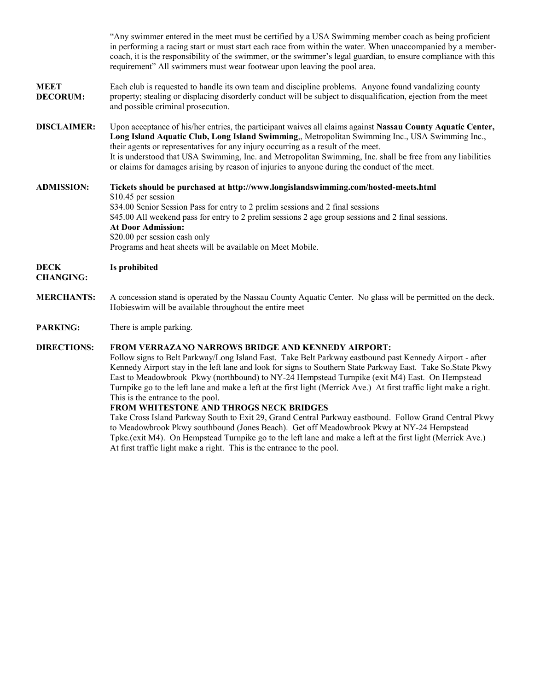|                                 | "Any swimmer entered in the meet must be certified by a USA Swimming member coach as being proficient<br>in performing a racing start or must start each race from within the water. When unaccompanied by a member-<br>coach, it is the responsibility of the swimmer, or the swimmer's legal guardian, to ensure compliance with this<br>requirement" All swimmers must wear footwear upon leaving the pool area.                                                                                                                                                                                                                                                                                                                                                                                                                                                                                          |
|---------------------------------|--------------------------------------------------------------------------------------------------------------------------------------------------------------------------------------------------------------------------------------------------------------------------------------------------------------------------------------------------------------------------------------------------------------------------------------------------------------------------------------------------------------------------------------------------------------------------------------------------------------------------------------------------------------------------------------------------------------------------------------------------------------------------------------------------------------------------------------------------------------------------------------------------------------|
| <b>MEET</b><br><b>DECORUM:</b>  | Each club is requested to handle its own team and discipline problems. Anyone found vandalizing county<br>property; stealing or displacing disorderly conduct will be subject to disqualification, ejection from the meet<br>and possible criminal prosecution.                                                                                                                                                                                                                                                                                                                                                                                                                                                                                                                                                                                                                                              |
| <b>DISCLAIMER:</b>              | Upon acceptance of his/her entries, the participant waives all claims against Nassau County Aquatic Center,<br>Long Island Aquatic Club, Long Island Swimming,, Metropolitan Swimming Inc., USA Swimming Inc.,<br>their agents or representatives for any injury occurring as a result of the meet.<br>It is understood that USA Swimming, Inc. and Metropolitan Swimming, Inc. shall be free from any liabilities<br>or claims for damages arising by reason of injuries to anyone during the conduct of the meet.                                                                                                                                                                                                                                                                                                                                                                                          |
| <b>ADMISSION:</b>               | Tickets should be purchased at http://www.longislandswimming.com/hosted-meets.html<br>\$10.45 per session<br>\$34.00 Senior Session Pass for entry to 2 prelim sessions and 2 final sessions<br>\$45.00 All weekend pass for entry to 2 prelim sessions 2 age group sessions and 2 final sessions.<br><b>At Door Admission:</b><br>\$20.00 per session cash only<br>Programs and heat sheets will be available on Meet Mobile.                                                                                                                                                                                                                                                                                                                                                                                                                                                                               |
| <b>DECK</b><br><b>CHANGING:</b> | Is prohibited                                                                                                                                                                                                                                                                                                                                                                                                                                                                                                                                                                                                                                                                                                                                                                                                                                                                                                |
| <b>MERCHANTS:</b>               | A concession stand is operated by the Nassau County Aquatic Center. No glass will be permitted on the deck.<br>Hobieswim will be available throughout the entire meet                                                                                                                                                                                                                                                                                                                                                                                                                                                                                                                                                                                                                                                                                                                                        |
| <b>PARKING:</b>                 | There is ample parking.                                                                                                                                                                                                                                                                                                                                                                                                                                                                                                                                                                                                                                                                                                                                                                                                                                                                                      |
| <b>DIRECTIONS:</b>              | FROM VERRAZANO NARROWS BRIDGE AND KENNEDY AIRPORT:<br>Follow signs to Belt Parkway/Long Island East. Take Belt Parkway eastbound past Kennedy Airport - after<br>Kennedy Airport stay in the left lane and look for signs to Southern State Parkway East. Take So. State Pkwy<br>East to Meadowbrook Pkwy (northbound) to NY-24 Hempstead Turnpike (exit M4) East. On Hempstead<br>Turnpike go to the left lane and make a left at the first light (Merrick Ave.) At first traffic light make a right.<br>This is the entrance to the pool.<br>FROM WHITESTONE AND THROGS NECK BRIDGES<br>Take Cross Island Parkway South to Exit 29, Grand Central Parkway eastbound. Follow Grand Central Pkwy<br>to Meadowbrook Pkwy southbound (Jones Beach). Get off Meadowbrook Pkwy at NY-24 Hempstead<br>Tpke (exit M4). On Hempstead Turnpike go to the left lane and make a left at the first light (Merrick Ave.) |

At first traffic light make a right. This is the entrance to the pool.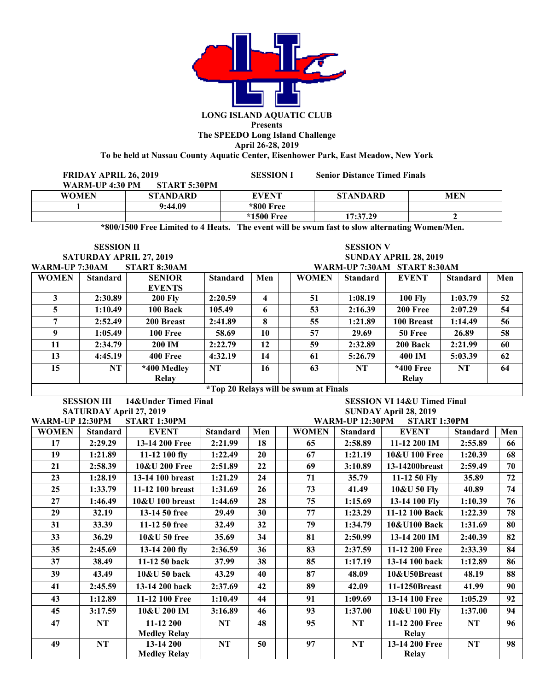

## **Presents The SPEEDO Long Island Challenge April 26-28, 2019**

**To be held at Nassau County Aquatic Center, Eisenhower Park, East Meadow, New York**

| <b>FRIDAY APRIL 26, 2019</b><br>WARM-UP 4:30 PM<br>START 5:30PM |                 | <b>SESSION I</b> | <b>Senior Distance Timed Finals</b> |            |
|-----------------------------------------------------------------|-----------------|------------------|-------------------------------------|------------|
| <b>WOMEN</b>                                                    | <b>STANDARD</b> | <b>EVENT</b>     | <b>STANDARD</b>                     | <b>MEN</b> |
|                                                                 | 9:44.09         | *800 Free        |                                     |            |
|                                                                 |                 | *1500 Free       | 17:37.29                            |            |

**\*800/1500 Free Limited to 4 Heats. The event will be swum fast to slow alternating Women/Men.**

**SESSION II SESSION V**

SATURDAY APRIL 27, 2019<br>**WARM-IP 7:30AM** START 8:30AM **WARM-UP 7:30AM START 8:30AM WARM-UP 7:30AM START 8:30AM**

| WAINFUL 7.JUANI |                                                   | 0.00 AND 0.00 AND | WANNI-UL 7.JUANI - 31 AN I 0.JUANI |     |  |              |                 |                |                 |     |
|-----------------|---------------------------------------------------|-------------------|------------------------------------|-----|--|--------------|-----------------|----------------|-----------------|-----|
| <b>WOMEN</b>    | <b>Standard</b>                                   | <b>SENIOR</b>     | <b>Standard</b>                    | Men |  | <b>WOMEN</b> | <b>Standard</b> | <b>EVENT</b>   | <b>Standard</b> | Men |
|                 |                                                   | <b>EVENTS</b>     |                                    |     |  |              |                 |                |                 |     |
|                 | 2:30.89                                           | <b>200 Fly</b>    | 2:20.59                            | 4   |  | 51           | 1:08.19         | <b>100 Flv</b> | 1:03.79         | 52  |
|                 | 1:10.49                                           | 100 Back          | 105.49                             | 6   |  | 53           | 2:16.39         | 200 Free       | 2:07.29         | 54  |
| 7               | 2:52.49                                           | 200 Breast        | 2:41.89                            | 8   |  | 55           | 1:21.89         | 100 Breast     | 1:14.49         | 56  |
| <b>Q</b>        | 1:05.49                                           | <b>100 Free</b>   | 58.69                              | 10  |  | 57           | 29.69           | 50 Free        | 26.89           | 58  |
| 11              | 2:34.79                                           | <b>200 IM</b>     | 2:22.79                            | 12  |  | 59           | 2:32.89         | 200 Back       | 2:21.99         | 60  |
| 13              | 4:45.19                                           | <b>400 Free</b>   | 4:32.19                            | 14  |  | 61           | 5:26.79         | 400 IM         | 5:03.39         | 62  |
| 15              | NT                                                | *400 Medley       | <b>NT</b>                          | 16  |  | 63           | NT              | *400 Free      | NT              | 64  |
|                 |                                                   | Relay             |                                    |     |  |              |                 | Relay          |                 |     |
|                 | $*T_{21}$ 20 Delays will be some at $F_{22}$ also |                   |                                    |     |  |              |                 |                |                 |     |

**\*Top 20 Relays will be swum at Finals** 

| <b>SESSION III</b><br>14& Under Timed Final |                                        |                     |                 |     | <b>SESSION VI 14&amp;U Timed Final</b> |              |                                        |                |                 |     |
|---------------------------------------------|----------------------------------------|---------------------|-----------------|-----|----------------------------------------|--------------|----------------------------------------|----------------|-----------------|-----|
| <b>SATURDAY April 27, 2019</b>              |                                        |                     |                 |     | SUNDAY April 28, 2019                  |              |                                        |                |                 |     |
|                                             | <b>WARM-UP 12:30PM</b><br>START 1:30PM |                     |                 |     |                                        |              | <b>WARM-UP 12:30PM</b><br>START 1:30PM |                |                 |     |
| <b>WOMEN</b>                                | <b>Standard</b>                        | <b>EVENT</b>        | <b>Standard</b> | Men |                                        | <b>WOMEN</b> | <b>Standard</b>                        | <b>EVENT</b>   | <b>Standard</b> | Men |
| 17                                          | 2:29.29                                | 13-14 200 Free      | 2:21.99         | 18  |                                        | 65           | 2:58.89                                | 11-12 200 IM   | 2:55.89         | 66  |
| 19                                          | 1:21.89                                | 11-12 100 fly       | 1:22.49         | 20  |                                        | 67           | 1:21.19                                | 10&U 100 Free  | 1:20.39         | 68  |
| 21                                          | 2:58.39                                | 10&U 200 Free       | 2:51.89         | 22  |                                        | 69           | 3:10.89                                | 13-14200breast | 2:59.49         | 70  |
| 23                                          | 1:28.19                                | 13-14 100 breast    | 1:21.29         | 24  |                                        | 71           | 35.79                                  | 11-12 50 Fly   | 35.89           | 72  |
| 25                                          | 1:33.79                                | 11-12 100 breast    | 1:31.69         | 26  |                                        | 73           | 41.49                                  | 10&U 50 Fly    | 40.89           | 74  |
| 27                                          | 1:46.49                                | $10&U$ 100 breast   | 1:44.69         | 28  |                                        | 75           | 1:15.69                                | 13-14 100 Fly  | 1:10.39         | 76  |
| 29                                          | 32.19                                  | 13-14 50 free       | 29.49           | 30  |                                        | 77           | 1:23.29                                | 11-12 100 Back | 1:22.39         | 78  |
| 31                                          | 33.39                                  | $11-1250$ free      | 32.49           | 32  |                                        | 79           | 1:34.79                                | 10&U100 Back   | 1:31.69         | 80  |
| 33 <sup>3</sup>                             | 36.29                                  | 10&U 50 free        | 35.69           | 34  |                                        | 81           | 2:50.99                                | 13-14 200 IM   | 2:40.39         | 82  |
| 35 <sub>1</sub>                             | 2:45.69                                | 13-14 200 fly       | 2:36.59         | 36  |                                        | 83           | 2:37.59                                | 11-12 200 Free | 2:33.39         | 84  |
| 37                                          | 38.49                                  | 11-12 50 back       | 37.99           | 38  |                                        | 85           | 1:17.19                                | 13-14 100 back | 1:12.89         | 86  |
| 39                                          | 43.49                                  | 10&U 50 back        | 43.29           | 40  |                                        | 87           | 48.09                                  | 10&U50Breast   | 48.19           | 88  |
| 41                                          | 2:45.59                                | 13-14 200 back      | 2:37.69         | 42  |                                        | 89           | 42.09                                  | 11-1250Breast  | 41.99           | 90  |
| 43                                          | 1:12.89                                | 11-12 100 Free      | 1:10.49         | 44  |                                        | 91           | 1:09.69                                | 13-14 100 Free | 1:05.29         | 92  |
| 45                                          | 3:17.59                                | 10&U 200 IM         | 3:16.89         | 46  |                                        | 93           | 1:37.00                                | 10&U 100 Fly   | 1:37.00         | 94  |
| 47                                          | <b>NT</b>                              | 11-12 200           | NT              | 48  |                                        | 95           | NT                                     | 11-12 200 Free | NT              | 96  |
|                                             |                                        | <b>Medley Relay</b> |                 |     |                                        |              |                                        | Relay          |                 |     |
| 49                                          | NT                                     | 13-14 200           | NT              | 50  |                                        | 97           | NT                                     | 13-14 200 Free | <b>NT</b>       | 98  |
|                                             |                                        | <b>Medley Relay</b> |                 |     |                                        |              |                                        | <b>Relay</b>   |                 |     |